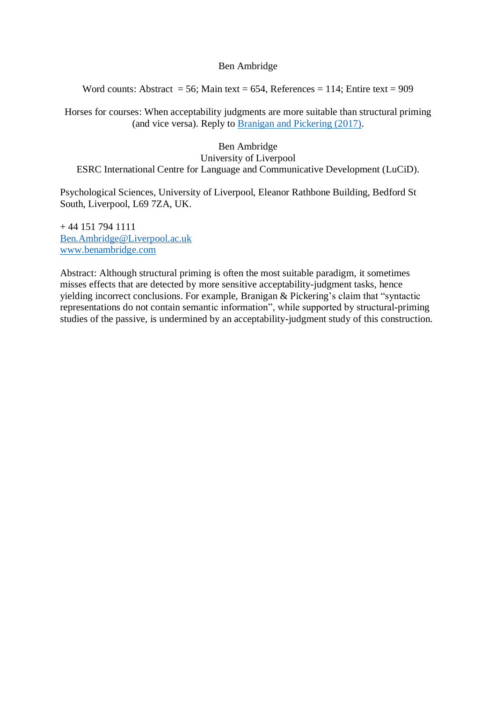## Ben Ambridge

## Word counts: Abstract = 56; Main text = 654, References = 114; Entire text =  $909$

Horses for courses: When acceptability judgments are more suitable than structural priming (and vice versa). Reply to [Branigan and Pickering \(2017\).](http://www.research.ed.ac.uk/portal/files/29381305/Branigan_Pickering_BBS_Revision3_FINAL_ACCEPTED.pdf)

## Ben Ambridge

University of Liverpool ESRC International Centre for Language and Communicative Development (LuCiD).

Psychological Sciences, University of Liverpool, Eleanor Rathbone Building, Bedford St South, Liverpool, L69 7ZA, UK.

 $+ 44$  151 794 1111 [Ben.Ambridge@Liverpool.ac.uk](mailto:Ben.Ambridge@Liverpool.ac.uk) [www.benambridge.com](http://www.benambridge.com/)

Abstract: Although structural priming is often the most suitable paradigm, it sometimes misses effects that are detected by more sensitive acceptability-judgment tasks, hence yielding incorrect conclusions. For example, Branigan & Pickering's claim that "syntactic representations do not contain semantic information", while supported by structural-priming studies of the passive, is undermined by an acceptability-judgment study of this construction.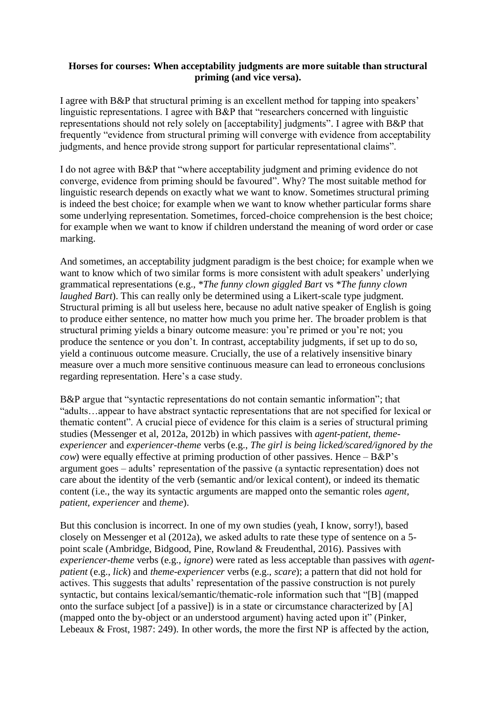## **Horses for courses: When acceptability judgments are more suitable than structural priming (and vice versa).**

I agree with B&P that structural priming is an excellent method for tapping into speakers' linguistic representations. I agree with B&P that "researchers concerned with linguistic representations should not rely solely on [acceptability] judgments". I agree with B&P that frequently "evidence from structural priming will converge with evidence from acceptability judgments, and hence provide strong support for particular representational claims".

I do not agree with B&P that "where acceptability judgment and priming evidence do not converge, evidence from priming should be favoured". Why? The most suitable method for linguistic research depends on exactly what we want to know. Sometimes structural priming is indeed the best choice; for example when we want to know whether particular forms share some underlying representation. Sometimes, forced-choice comprehension is the best choice; for example when we want to know if children understand the meaning of word order or case marking.

And sometimes, an acceptability judgment paradigm is the best choice; for example when we want to know which of two similar forms is more consistent with adult speakers' underlying grammatical representations (e.g., \**The funny clown giggled Bart* vs \**The funny clown laughed Bart*). This can really only be determined using a Likert-scale type judgment. Structural priming is all but useless here, because no adult native speaker of English is going to produce either sentence, no matter how much you prime her. The broader problem is that structural priming yields a binary outcome measure: you're primed or you're not; you produce the sentence or you don't. In contrast, acceptability judgments, if set up to do so, yield a continuous outcome measure. Crucially, the use of a relatively insensitive binary measure over a much more sensitive continuous measure can lead to erroneous conclusions regarding representation. Here's a case study.

B&P argue that "syntactic representations do not contain semantic information"; that "adults…appear to have abstract syntactic representations that are not specified for lexical or thematic content". A crucial piece of evidence for this claim is a series of structural priming studies (Messenger et al, 2012a, 2012b) in which passives with *agent-patient, themeexperiencer* and *experiencer-theme* verbs (e.g., *The girl is being licked/scared/ignored by the cow*) were equally effective at priming production of other passives. Hence – B&P's argument goes – adults' representation of the passive (a syntactic representation) does not care about the identity of the verb (semantic and/or lexical content), or indeed its thematic content (i.e., the way its syntactic arguments are mapped onto the semantic roles *agent, patient, experiencer* and *theme*).

But this conclusion is incorrect. In one of my own studies (yeah, I know, sorry!), based closely on Messenger et al (2012a), we asked adults to rate these type of sentence on a 5 point scale (Ambridge, Bidgood, Pine, Rowland & Freudenthal, 2016). Passives with *experiencer-theme* verbs (e.g., *ignore*) were rated as less acceptable than passives with *agentpatient* (e.g., *lick*) and *theme-experiencer* verbs (e.g., *scare*); a pattern that did not hold for actives. This suggests that adults' representation of the passive construction is not purely syntactic, but contains lexical/semantic/thematic-role information such that "[B] (mapped onto the surface subject [of a passive]) is in a state or circumstance characterized by [A] (mapped onto the by-object or an understood argument) having acted upon it" (Pinker, Lebeaux & Frost, 1987: 249). In other words, the more the first NP is affected by the action,